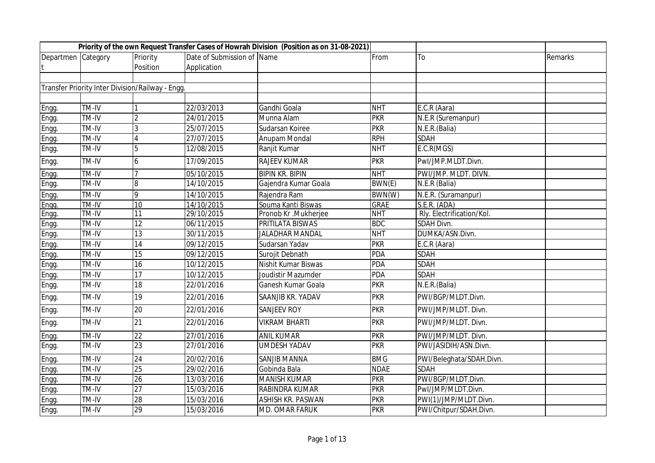|                    |              |                                                  |                            | Priority of the own Request Transfer Cases of Howrah Division (Position as on 31-08-2021) |             |                           |         |
|--------------------|--------------|--------------------------------------------------|----------------------------|-------------------------------------------------------------------------------------------|-------------|---------------------------|---------|
| Departmen Category |              | Priority                                         | Date of Submission of Name |                                                                                           | From        | To                        | Remarks |
|                    |              | Position                                         | Application                |                                                                                           |             |                           |         |
|                    |              |                                                  |                            |                                                                                           |             |                           |         |
|                    |              | Transfer Priority Inter Division/Railway - Engg. |                            |                                                                                           |             |                           |         |
|                    |              |                                                  |                            |                                                                                           |             |                           |         |
| Engg.              | <b>TM-IV</b> |                                                  | 22/03/2013                 | Gandhi Goala                                                                              | <b>NHT</b>  | E.C.R (Aara)              |         |
| Engg.              | TM-IV        | $\mathfrak{p}$                                   | 24/01/2015                 | Munna Alam                                                                                | <b>PKR</b>  | N.E.R (Suremanpur)        |         |
| Engg.              | TM-IV        | $\overline{3}$                                   | 25/07/2015                 | Sudarsan Koiree                                                                           | <b>PKR</b>  | N.E.R.(Balia)             |         |
| Engg.              | TM-IV        |                                                  | 27/07/2015                 | Anupam Mondal                                                                             | <b>RPH</b>  | <b>SDAH</b>               |         |
| Engg.              | TM-IV        | 5                                                | 12/08/2015                 | Ranjit Kumar                                                                              | <b>NHT</b>  | E.C.R(MGS)                |         |
| Engg.              | TM-IV        | 6                                                | 17/09/2015                 | <b>RAJEEV KUMAR</b>                                                                       | <b>PKR</b>  | Pwl/JMP.MLDT.Divn.        |         |
| Engg.              | TM-IV        |                                                  | 05/10/2015                 | <b>BIPIN KR. BIPIN</b>                                                                    | <b>NHT</b>  | PWI/JMP. MLDT. DIVN.      |         |
| Engg.              | TM-IV        | 8                                                | 14/10/2015                 | Gajendra Kumar Goala                                                                      | BWN(E)      | N.E.R (Balia)             |         |
| Engg.              | TM-IV        | 9                                                | 14/10/2015                 | Rajendra Ram                                                                              | BWN(W)      | N.E.R. (Suramanpur)       |         |
| Engg.              | TM-IV        | 10                                               | 14/10/2015                 | Souma Kanti Biswas                                                                        | <b>GRAE</b> | S.E.R. (ADA)              |         |
| Engg.              | TM-IV        | 11                                               | 29/10/2015                 | Pronob Kr .Mukherjee                                                                      | <b>NHT</b>  | Rly. Electrification/Kol. |         |
| Engg.              | TM-IV        | 12                                               | 06/11/2015                 | PRITILATA BISWAS                                                                          | <b>BDC</b>  | <b>SDAH Divn.</b>         |         |
| Engg.              | TM-IV        | 13                                               | 30/11/2015                 | <b>JALADHAR MANDAL</b>                                                                    | <b>NHT</b>  | DUMKA/ASN.Divn.           |         |
| Engg.              | TM-IV        | 14                                               | 09/12/2015                 | Sudarsan Yadav                                                                            | <b>PKR</b>  | E.C.R (Aara)              |         |
| Engg.              | TM-IV        | 15                                               | 09/12/2015                 | Surojit Debnath                                                                           | <b>PDA</b>  | <b>SDAH</b>               |         |
| Engg.              | TM-IV        | 16                                               | 10/12/2015                 | Nishit Kumar Biswas                                                                       | <b>PDA</b>  | <b>SDAH</b>               |         |
| Engg.              | TM-IV        | 17                                               | 10/12/2015                 | Joudistir Mazumder                                                                        | <b>PDA</b>  | <b>SDAH</b>               |         |
| Engg.              | TM-IV        | 18                                               | 22/01/2016                 | Ganesh Kumar Goala                                                                        | <b>PKR</b>  | $N.E.R.$ (Balia)          |         |
| Engg.              | TM-IV        | 19                                               | 22/01/2016                 | SAANJIB KR. YADAV                                                                         | <b>PKR</b>  | PWI/BGP/MLDT.Divn.        |         |
| Engg.              | TM-IV        | 20                                               | 22/01/2016                 | <b>SANJEEV ROY</b>                                                                        | <b>PKR</b>  | PWI/JMP/MLDT. Divn.       |         |
| Engg.              | TM-IV        | 21                                               | 22/01/2016                 | <b>VIKRAM BHARTI</b>                                                                      | <b>PKR</b>  | PWI/JMP/MLDT. Divn.       |         |
| Engg.              | TM-IV        | $\overline{22}$                                  | 27/01/2016                 | <b>ANIL KUMAR</b>                                                                         | <b>PKR</b>  | PWI/JMP/MLDT. Divn.       |         |
| Engg.              | TM-IV        | 23                                               | 27/01/2016                 | <b>UMDESH YADAV</b>                                                                       | <b>PKR</b>  | PWI/JASIDIH/ASN.Divn.     |         |
| Engg.              | TM-IV        | 24                                               | 20/02/2016                 | <b>SANJIB MANNA</b>                                                                       | <b>BMG</b>  | PWI/Beleghata/SDAH.Divn.  |         |
| Engg.              | TM-IV        | 25                                               | 29/02/2016                 | Gobinda Bala                                                                              | <b>NDAE</b> | <b>SDAH</b>               |         |
| Engg.              | TM-IV        | 26                                               | 13/03/2016                 | <b>MANISH KUMAR</b>                                                                       | <b>PKR</b>  | PWI/BGP/MLDT.Divn.        |         |
| Engg.              | TM-IV        | 27                                               | 15/03/2016                 | RABINDRA KUMAR                                                                            | <b>PKR</b>  | Pwl/JMP/MLDT.Divn.        |         |
| Engg.              | TM-IV        | 28                                               | 15/03/2016                 | ASHISH KR. PASWAN                                                                         | <b>PKR</b>  | PWI(1)/JMP/MLDT.Divn.     |         |
| Engg.              | TM-IV        | 29                                               | 15/03/2016                 | MD. OMAR FARUK                                                                            | <b>PKR</b>  | PWI/Chitpur/SDAH.Divn.    |         |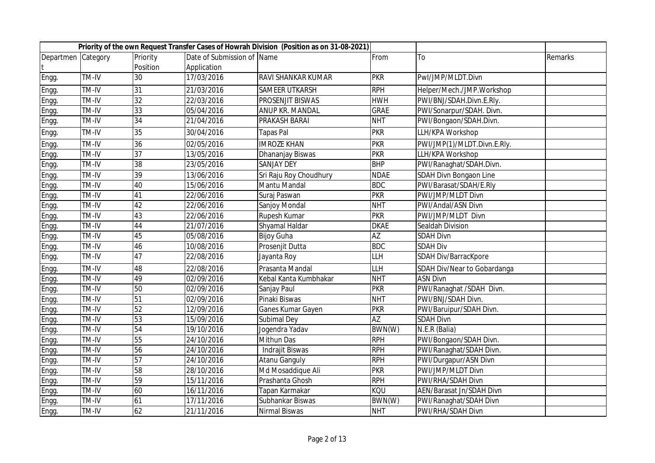|                    |                            |                 |                            | Priority of the own Request Transfer Cases of Howrah Division (Position as on 31-08-2021) |                                             |                             |         |
|--------------------|----------------------------|-----------------|----------------------------|-------------------------------------------------------------------------------------------|---------------------------------------------|-----------------------------|---------|
| Departmen Category |                            | Priority        | Date of Submission of Name |                                                                                           | From                                        | To                          | Remarks |
|                    |                            | Position        | Application                |                                                                                           |                                             |                             |         |
| Engg.              | <b>TM-IV</b>               | 30              | 17/03/2016                 | RAVI SHANKAR KUMAR                                                                        | <b>PKR</b>                                  | Pwl/JMP/MLDT.Divn           |         |
| Engg.              | TM-IV                      | 31              | 21/03/2016                 | <b>SAMEER UTKARSH</b>                                                                     | <b>RPH</b>                                  | Helper/Mech./JMP.Workshop   |         |
| Engg.              | TM-IV                      | 32              | 22/03/2016                 | PROSENJIT BISWAS                                                                          | <b>HWH</b>                                  | PWI/BNJ/SDAH.Divn.E.Rly.    |         |
| Engg.              | TM-IV                      | 33              | 05/04/2016                 | ANUP KR. MANDAL                                                                           | <b>GRAE</b>                                 | PWI/Sonarpur/SDAH. Divn.    |         |
| Engg.              | TM-IV                      | 34              | 21/04/2016                 | PRAKASH BARAI                                                                             | <b>NHT</b>                                  | PWI/Bongaon/SDAH.Divn.      |         |
| Engg.              | TM-IV                      | 35              | 30/04/2016                 | Tapas Pal                                                                                 | <b>PKR</b>                                  | LLH/KPA Workshop            |         |
| Engg.              | TM-IV                      | 36              | 02/05/2016                 | <b>IMROZE KHAN</b>                                                                        | <b>PKR</b>                                  | PWI/JMP(1)/MLDT.Divn.E.Rly. |         |
| Engg.              | TM-IV                      | 37              | 13/05/2016                 | Dhananjay Biswas                                                                          | <b>PKR</b>                                  | LLH/KPA Workshop            |         |
| Engg.              | $\overline{\text{TM}}$ -IV | $\overline{38}$ | 23/05/2016                 | <b>SANJAY DEY</b>                                                                         | <b>BHP</b>                                  | PWI/Ranaghat/SDAH.Divn.     |         |
| Engg.              | TM-IV                      | 39              | 13/06/2016                 | Sri Raju Roy Choudhury                                                                    | <b>NDAE</b>                                 | SDAH Divn Bongaon Line      |         |
| Engg.              | TM-IV                      | 40              | 15/06/2016                 | Mantu Mandal                                                                              | <b>BDC</b>                                  | PWI/Barasat/SDAH/E.Rly      |         |
| Engg.              | TM-IV                      | 41              | 22/06/2016                 | Suraj Paswan                                                                              | <b>PKR</b>                                  | PWI/JMP/MLDT Divn           |         |
| Engg.              | TM-IV                      | 42              | 22/06/2016                 | Sanjoy Mondal                                                                             | <b>NHT</b>                                  | PWI/Andal/ASN Divn          |         |
| Engg.              | TM-IV                      | 43              | 22/06/2016                 | Rupesh Kumar                                                                              | <b>PKR</b>                                  | PWI/JMP/MLDT Divn           |         |
| Engg.              | TM-IV                      | 44              | 21/07/2016                 | Shyamal Haldar                                                                            | <b>DKAE</b>                                 | Sealdah Division            |         |
| Engg.              | TM-IV                      | 45              | 05/08/2016                 | <b>Bijoy Guha</b>                                                                         | $\overline{AZ}$                             | <b>SDAH Divn</b>            |         |
| Engg.              | TM-IV                      | 46              | 10/08/2016                 | Prosenjit Dutta                                                                           | <b>BDC</b>                                  | <b>SDAH Div</b>             |         |
| Engg.              | TM-IV                      | 47              | 22/08/2016                 | Jayanta Roy                                                                               | $\overline{\mathsf{L}\mathsf{L}\mathsf{H}}$ | SDAH Div/BarracKpore        |         |
| Engg.              | TM-IV                      | 48              | 22/08/2016                 | Prasanta Mandal                                                                           | LLH                                         | SDAH Div/Near to Gobardanga |         |
| Engg.              | TM-IV                      | 49              | 02/09/2016                 | Kebal Kanta Kumbhakar                                                                     | <b>NHT</b>                                  | <b>ASN Divn</b>             |         |
| Engg.              | TM-IV                      | 50              | 02/09/2016                 | Sanjay Paul                                                                               | <b>PKR</b>                                  | PWI/Ranaghat /SDAH Divn.    |         |
| Engg.              | TM-IV                      | 51              | 02/09/2016                 | Pinaki Biswas                                                                             | <b>NHT</b>                                  | PWI/BNJ/SDAH Divn.          |         |
| Engg.              | TM-IV                      | $\overline{52}$ | 12/09/2016                 | Ganes Kumar Gayen                                                                         | <b>PKR</b>                                  | PWI/Baruipur/SDAH Divn.     |         |
| Engg.              | TM-IV                      | 53              | 15/09/2016                 | Subimal Dey                                                                               | <b>AZ</b>                                   | <b>SDAH Divn</b>            |         |
| Engg.              | TM-IV                      | 54              | 19/10/2016                 | Jogendra Yadav                                                                            | BWN(W)                                      | N.E.R (Balia)               |         |
| Engg.              | TM-IV                      | $\overline{55}$ | 24/10/2016                 | <b>Mithun Das</b>                                                                         | <b>RPH</b>                                  | PWI/Bongaon/SDAH Divn.      |         |
| Engg.              | TM-IV                      | 56              | 24/10/2016                 | Indrajit Biswas                                                                           | <b>RPH</b>                                  | PWI/Ranaghat/SDAH Divn.     |         |
| Engg.              | TM-IV                      | 57              | 24/10/2016                 | <b>Atanu Ganguly</b>                                                                      | <b>RPH</b>                                  | PWI/Durgapur/ASN Divn       |         |
| Engg.              | TM-IV                      | 58              | 28/10/2016                 | Md Mosaddique Ali                                                                         | <b>PKR</b>                                  | PWI/JMP/MLDT Divn           |         |
| Engg.              | TM-IV                      | 59              | 15/11/2016                 | Prashanta Ghosh                                                                           | <b>RPH</b>                                  | PWI/RHA/SDAH Divn           |         |
| Engg.              | TM-IV                      | 60              | 16/11/2016                 | Tapan Karmakar                                                                            | KQU                                         | AEN/Barasat Jn/SDAH Divn    |         |
| Engg.              | $\overline{T}M-IV$         | 61              | 17/11/2016                 | Subhankar Biswas                                                                          | BWN(W)                                      | PWI/Ranaghat/SDAH Divn      |         |
| Engg.              | TM-IV                      | 62              | 21/11/2016                 | Nirmal Biswas                                                                             | <b>NHT</b>                                  | PWI/RHA/SDAH Divn           |         |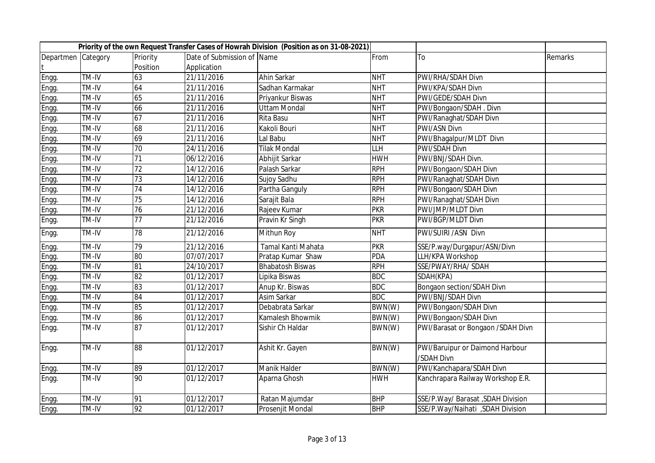|                    |       |                 |                            | Priority of the own Request Transfer Cases of Howrah Division (Position as on 31-08-2021) |                                             |                                               |         |
|--------------------|-------|-----------------|----------------------------|-------------------------------------------------------------------------------------------|---------------------------------------------|-----------------------------------------------|---------|
| Departmen Category |       | Priority        | Date of Submission of Name |                                                                                           | From                                        | To                                            | Remarks |
|                    |       | Position        | Application                |                                                                                           |                                             |                                               |         |
| Engg.              | TM-IV | 63              | 21/11/2016                 | Ahin Sarkar                                                                               | <b>NHT</b>                                  | PWI/RHA/SDAH Divn                             |         |
| Engg.              | TM-IV | 64              | 21/11/2016                 | Sadhan Karmakar                                                                           | <b>NHT</b>                                  | PWI/KPA/SDAH Divn                             |         |
| Engg.              | TM-IV | 65              | 21/11/2016                 | Priyankur Biswas                                                                          | <b>NHT</b>                                  | PWI/GEDE/SDAH Divn                            |         |
| Engg.              | TM-IV | 66              | 21/11/2016                 | <b>Uttam Mondal</b>                                                                       | <b>NHT</b>                                  | PWI/Bongaon/SDAH. Divn                        |         |
| Engg.              | TM-IV | 67              | 21/11/2016                 | Rita Basu                                                                                 | <b>NHT</b>                                  | PWI/Ranaghat/SDAH Divn                        |         |
| Engg.              | TM-IV | 68              | 21/11/2016                 | Kakoli Bouri                                                                              | <b>NHT</b>                                  | PWI/ASN Divn                                  |         |
| Engg.              | TM-IV | 69              | 21/11/2016                 | Lal Babu                                                                                  | <b>NHT</b>                                  | PWI/Bhagalpur/MLDT Divn                       |         |
| Engg.              | TM-IV | 70              | 24/11/2016                 | <b>Tilak Mondal</b>                                                                       | $\overline{\mathsf{L}\mathsf{L}\mathsf{H}}$ | <b>PWI/SDAH Divn</b>                          |         |
| Engg.              | TM-IV | 71              | 06/12/2016                 | Abhijit Sarkar                                                                            | <b>HWH</b>                                  | PWI/BNJ/SDAH Divn.                            |         |
| Engg.              | TM-IV | 72              | 14/12/2016                 | Palash Sarkar                                                                             | <b>RPH</b>                                  | PWI/Bongaon/SDAH Divn                         |         |
| Engg.              | TM-IV | $\overline{73}$ | 14/12/2016                 | Sujoy Sadhu                                                                               | <b>RPH</b>                                  | PWI/Ranaghat/SDAH Divn                        |         |
| Engg.              | TM-IV | 74              | 14/12/2016                 | Partha Ganguly                                                                            | <b>RPH</b>                                  | PWI/Bongaon/SDAH Divn                         |         |
| Engg.              | TM-IV | 75              | 14/12/2016                 | Sarajit Bala                                                                              | <b>RPH</b>                                  | PWI/Ranaghat/SDAH Divn                        |         |
| Engg.              | TM-IV | 76              | 21/12/2016                 | Rajeev Kumar                                                                              | <b>PKR</b>                                  | PWI/JMP/MLDT Divn                             |         |
| Engg.              | TM-IV | $\overline{77}$ | 21/12/2016                 | Pravin Kr Singh                                                                           | <b>PKR</b>                                  | PWI/BGP/MLDT Divn                             |         |
| Engg.              | TM-IV | 78              | 21/12/2016                 | Mithun Roy                                                                                | <b>NHT</b>                                  | PWI/SUIRI /ASN Divn                           |         |
| Engg.              | TM-IV | 79              | 21/12/2016                 | Tamal Kanti Mahata                                                                        | <b>PKR</b>                                  | SSE/P.way/Durgapur/ASN/Divn                   |         |
| Engg.              | TM-IV | 80              | 07/07/2017                 | Pratap Kumar Shaw                                                                         | <b>PDA</b>                                  | LLH/KPA Workshop                              |         |
| Engg.              | TM-IV | 81              | 24/10/2017                 | <b>Bhabatosh Biswas</b>                                                                   | <b>RPH</b>                                  | SSE/PWAY/RHA/ SDAH                            |         |
| Engg.              | TM-IV | $\overline{82}$ | 01/12/2017                 | Lipika Biswas                                                                             | <b>BDC</b>                                  | SDAH(KPA)                                     |         |
| Engg.              | TM-IV | 83              | 01/12/2017                 | Anup Kr. Biswas                                                                           | <b>BDC</b>                                  | <b>Bongaon section/SDAH Divn</b>              |         |
| Engg.              | TM-IV | 84              | 01/12/2017                 | Asim Sarkar                                                                               | <b>BDC</b>                                  | PWI/BNJ/SDAH Divn                             |         |
| Engg.              | TM-IV | 85              | 01/12/2017                 | Debabrata Sarkar                                                                          | BWN(W)                                      | PWI/Bongaon/SDAH Divn                         |         |
| Engg.              | TM-IV | 86              | 01/12/2017                 | Kamalesh Bhowmik                                                                          | BWN(W)                                      | PWI/Bongaon/SDAH Divn                         |         |
| Engg.              | TM-IV | 87              | 01/12/2017                 | Sishir Ch Haldar                                                                          | BWN(W)                                      | PWI/Barasat or Bongaon /SDAH Divn             |         |
| Engg.              | TM-IV | $\overline{88}$ | 01/12/2017                 | Ashit Kr. Gayen                                                                           | BWN(W)                                      | PWI/Baruipur or Daimond Harbour<br>/SDAH Divn |         |
| Engg.              | TM-IV | 89              | 01/12/2017                 | Manik Halder                                                                              | BWN(W)                                      | PWI/Kanchapara/SDAH Divn                      |         |
| Engg.              | TM-IV | 90              | 01/12/2017                 | Aparna Ghosh                                                                              | <b>HWH</b>                                  | Kanchrapara Railway Workshop E.R.             |         |
| Engg.              | TM-IV | 91              | 01/12/2017                 | Ratan Majumdar                                                                            | <b>BHP</b>                                  | SSE/P.Way/ Barasat, SDAH Division             |         |
| Engg.              | TM-IV | $\overline{92}$ | 01/12/2017                 | Prosenjit Mondal                                                                          | <b>BHP</b>                                  | SSE/P.Way/Naihati ,SDAH Division              |         |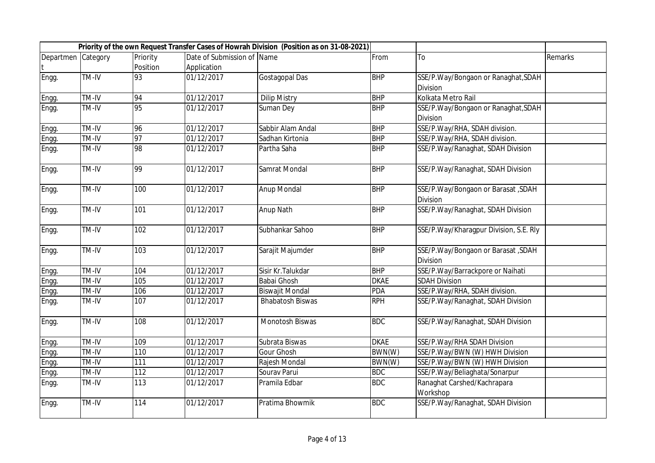|                    |       |          |                            | Priority of the own Request Transfer Cases of Howrah Division (Position as on 31-08-2021) |             |                                                |                |
|--------------------|-------|----------|----------------------------|-------------------------------------------------------------------------------------------|-------------|------------------------------------------------|----------------|
| Departmen Category |       | Priority | Date of Submission of Name |                                                                                           | From        | To                                             | <b>Remarks</b> |
|                    |       | Position | Application                |                                                                                           |             |                                                |                |
| Engg.              | TM-IV | 93       | 01/12/2017                 | Gostagopal Das                                                                            | <b>BHP</b>  | SSE/P.Way/Bongaon or Ranaghat, SDAH            |                |
|                    |       |          |                            |                                                                                           |             | <b>Division</b>                                |                |
| Engg.              | TM-IV | 94       | 01/12/2017                 | <b>Dilip Mistry</b>                                                                       | <b>BHP</b>  | Kolkata Metro Rail                             |                |
| Engg.              | TM-IV | 95       | 01/12/2017                 | Suman Dey                                                                                 | <b>BHP</b>  | SSE/P.Way/Bongaon or Ranaghat, SDAH            |                |
|                    |       |          |                            |                                                                                           |             | Division                                       |                |
| Engg.              | TM-IV | 96       | 01/12/2017                 | Sabbir Alam Andal                                                                         | <b>BHP</b>  | SSE/P.Way/RHA, SDAH division.                  |                |
| Engg.              | TM-IV | 97       | 01/12/2017                 | Sadhan Kirtonia                                                                           | <b>BHP</b>  | SSE/P.Way/RHA, SDAH division.                  |                |
| Engg.              | TM-IV | 98       | 01/12/2017                 | Partha Saha                                                                               | <b>BHP</b>  | SSE/P.Way/Ranaghat, SDAH Division              |                |
| Engg.              | TM-IV | 99       | 01/12/2017                 | Samrat Mondal                                                                             | <b>BHP</b>  | SSE/P.Way/Ranaghat, SDAH Division              |                |
| Engg.              | TM-IV | 100      | 01/12/2017                 | <b>Anup Mondal</b>                                                                        | <b>BHP</b>  | SSE/P.Way/Bongaon or Barasat, SDAH             |                |
|                    |       |          |                            |                                                                                           |             | Division                                       |                |
| Engg.              | TM-IV | 101      | 01/12/2017                 | Anup Nath                                                                                 | <b>BHP</b>  | SSE/P.Way/Ranaghat, SDAH Division              |                |
| Engg.              | TM-IV | 102      | 01/12/2017                 | Subhankar Sahoo                                                                           | <b>BHP</b>  | SSE/P.Way/Kharagpur Division, S.E. Rly         |                |
| Engg.              | TM-IV | 103      | 01/12/2017                 | Sarajit Majumder                                                                          | <b>BHP</b>  | SSE/P.Way/Bongaon or Barasat, SDAH<br>Division |                |
| Engg.              | TM-IV | 104      | 01/12/2017                 | Sisir Kr. Talukdar                                                                        | <b>BHP</b>  | SSE/P.Way/Barrackpore or Naihati               |                |
| Engg.              | TM-IV | 105      | 01/12/2017                 | <b>Babai Ghosh</b>                                                                        | <b>DKAE</b> | <b>SDAH Division</b>                           |                |
| Engg.              | TM-IV | 106      | 01/12/2017                 | <b>Biswajit Mondal</b>                                                                    | <b>PDA</b>  | SSE/P.Way/RHA, SDAH division.                  |                |
| Engg.              | TM-IV | 107      | 01/12/2017                 | <b>Bhabatosh Biswas</b>                                                                   | <b>RPH</b>  | SSE/P.Way/Ranaghat, SDAH Division              |                |
| Engg.              | TM-IV | 108      | 01/12/2017                 | Monotosh Biswas                                                                           | <b>BDC</b>  | SSE/P.Way/Ranaghat, SDAH Division              |                |
| Engg.              | TM-IV | 109      | 01/12/2017                 | Subrata Biswas                                                                            | <b>DKAE</b> | SSE/P.Way/RHA SDAH Division                    |                |
| Engg.              | TM-IV | 110      | 01/12/2017                 | <b>Gour Ghosh</b>                                                                         | BWN(W)      | SSE/P.Way/BWN (W) HWH Division                 |                |
| Engg.              | TM-IV | 111      | 01/12/2017                 | Rajesh Mondal                                                                             | BWN(W)      | SSE/P.Way/BWN (W) HWH Division                 |                |
| Engg.              | TM-IV | 112      | 01/12/2017                 | Sourav Parui                                                                              | <b>BDC</b>  | SSE/P.Way/Beliaghata/Sonarpur                  |                |
| Engg.              | TM-IV | 113      | 01/12/2017                 | Pramila Edbar                                                                             | <b>BDC</b>  | Ranaghat Carshed/Kachrapara<br>Workshop        |                |
| Engg.              | TM-IV | 114      | 01/12/2017                 | Pratima Bhowmik                                                                           | <b>BDC</b>  | SSE/P.Way/Ranaghat, SDAH Division              |                |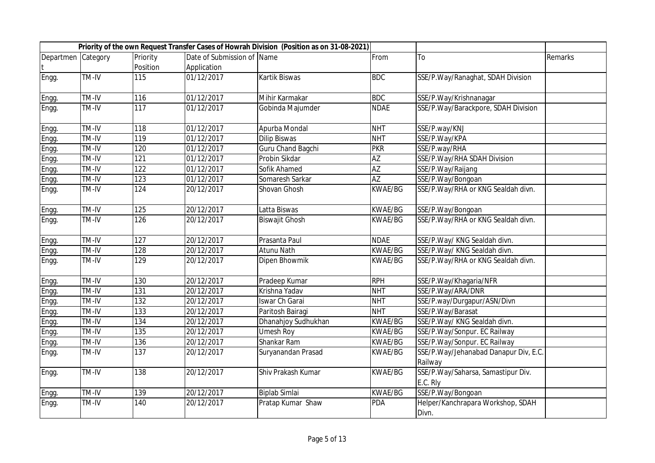|                    |       |                  |                            | Priority of the own Request Transfer Cases of Howrah Division (Position as on 31-08-2021) |                 |                                                  |         |
|--------------------|-------|------------------|----------------------------|-------------------------------------------------------------------------------------------|-----------------|--------------------------------------------------|---------|
| Departmen Category |       | Priority         | Date of Submission of Name |                                                                                           | From            | To                                               | Remarks |
|                    |       | Position         | Application                |                                                                                           |                 |                                                  |         |
| Engg.              | TM-IV | 115              | 01/12/2017                 | Kartik Biswas                                                                             | <b>BDC</b>      | SSE/P.Way/Ranaghat, SDAH Division                |         |
| Engg.              | TM-IV | 116              | 01/12/2017                 | Mihir Karmakar                                                                            | <b>BDC</b>      | SSE/P.Way/Krishnanagar                           |         |
| Engg.              | TM-IV | $\overline{117}$ | 01/12/2017                 | Gobinda Majumder                                                                          | <b>NDAE</b>     | SSE/P.Way/Barackpore, SDAH Division              |         |
| Engg.              | TM-IV | 118              | 01/12/2017                 | Apurba Mondal                                                                             | <b>NHT</b>      | SSE/P.way/KNJ                                    |         |
| Engg.              | TM-IV | 119              | 01/12/2017                 | <b>Dilip Biswas</b>                                                                       | <b>NHT</b>      | SSE/P.Way/KPA                                    |         |
| Engg.              | TM-IV | 120              | 01/12/2017                 | Guru Chand Bagchi                                                                         | <b>PKR</b>      | SSE/P.way/RHA                                    |         |
| Engg.              | TM-IV | 121              | 01/12/2017                 | Probin Sikdar                                                                             | $\overline{AZ}$ | SSE/P.Way/RHA SDAH Division                      |         |
| Engg.              | TM-IV | 122              | 01/12/2017                 | Sofik Ahamed                                                                              | $\overline{AZ}$ | SSE/P.Way/Raijang                                |         |
| Engg.              | TM-IV | 123              | 01/12/2017                 | Somaresh Sarkar                                                                           | <b>AZ</b>       | SSE/P.Way/Bongoan                                |         |
| Engg.              | TM-IV | 124              | 20/12/2017                 | Shovan Ghosh                                                                              | <b>KWAE/BG</b>  | SSE/P.Way/RHA or KNG Sealdah divn.               |         |
| Engg.              | TM-IV | 125              | 20/12/2017                 | Latta Biswas                                                                              | <b>KWAE/BG</b>  | SSE/P.Way/Bongoan                                |         |
| Engg.              | TM-IV | 126              | 20/12/2017                 | <b>Biswajit Ghosh</b>                                                                     | <b>KWAE/BG</b>  | SSE/P.Way/RHA or KNG Sealdah divn.               |         |
| Engg.              | TM-IV | 127              | 20/12/2017                 | Prasanta Paul                                                                             | <b>NDAE</b>     | SSE/P.Way/ KNG Sealdah divn.                     |         |
| Engg.              | TM-IV | 128              | 20/12/2017                 | Atunu Nath                                                                                | <b>KWAE/BG</b>  | SSE/P.Way/ KNG Sealdah divn.                     |         |
| Engg.              | TM-IV | 129              | 20/12/2017                 | Dipen Bhowmik                                                                             | <b>KWAE/BG</b>  | SSE/P.Way/RHA or KNG Sealdah divn.               |         |
| Engg.              | TM-IV | 130              | 20/12/2017                 | Pradeep Kumar                                                                             | <b>RPH</b>      | SSE/P.Way/Khagaria/NFR                           |         |
| Engg.              | TM-IV | 131              | 20/12/2017                 | Krishna Yadav                                                                             | <b>NHT</b>      | SSE/P.Way/ARA/DNR                                |         |
| Engg.              | TM-IV | 132              | 20/12/2017                 | Iswar Ch Garai                                                                            | <b>NHT</b>      | SSE/P.way/Durgapur/ASN/Divn                      |         |
| Engg.              | TM-IV | 133              | 20/12/2017                 | Paritosh Bairagi                                                                          | <b>NHT</b>      | SSE/P.Way/Barasat                                |         |
| Engg.              | TM-IV | 134              | 20/12/2017                 | Dhanahjoy Sudhukhan                                                                       | <b>KWAE/BG</b>  | SSE/P.Way/ KNG Sealdah divn.                     |         |
| Engg.              | TM-IV | 135              | 20/12/2017                 | <b>Umesh Roy</b>                                                                          | <b>KWAE/BG</b>  | SSE/P.Way/Sonpur. EC Railway                     |         |
| Engg.              | TM-IV | 136              | 20/12/2017                 | Shankar Ram                                                                               | <b>KWAE/BG</b>  | SSE/P.Way/Sonpur. EC Railway                     |         |
| Engg.              | TM-IV | 137              | 20/12/2017                 | Suryanandan Prasad                                                                        | <b>KWAE/BG</b>  | SSE/P.Way/Jehanabad Danapur Div, E.C.<br>Railway |         |
| Engg.              | TM-IV | 138              | 20/12/2017                 | Shiv Prakash Kumar                                                                        | <b>KWAE/BG</b>  | SSE/P.Way/Saharsa, Samastipur Div.<br>E.C. Rly   |         |
| Engg.              | TM-IV | 139              | 20/12/2017                 | <b>Biplab Simlai</b>                                                                      | <b>KWAE/BG</b>  | SSE/P.Way/Bongoan                                |         |
| Engg.              | TM-IV | 140              | 20/12/2017                 | Pratap Kumar Shaw                                                                         | <b>PDA</b>      | Helper/Kanchrapara Workshop, SDAH<br>Divn.       |         |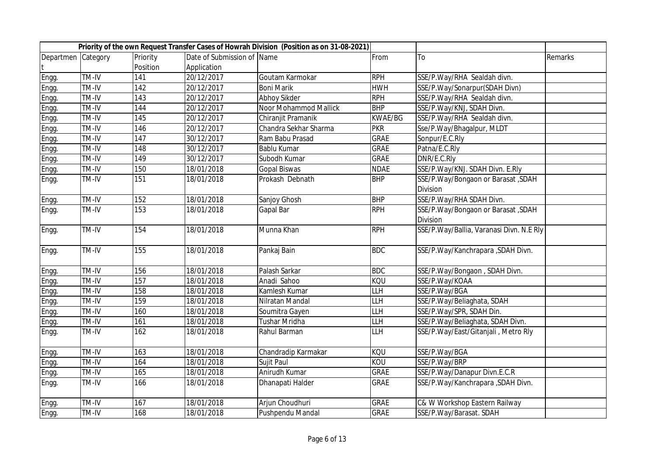|                    |       |          |                            | Priority of the own Request Transfer Cases of Howrah Division (Position as on 31-08-2021) |                                             |                                          |         |
|--------------------|-------|----------|----------------------------|-------------------------------------------------------------------------------------------|---------------------------------------------|------------------------------------------|---------|
| Departmen Category |       | Priority | Date of Submission of Name |                                                                                           | From                                        | To                                       | Remarks |
|                    |       | Position | Application                |                                                                                           |                                             |                                          |         |
| Engg.              | TM-IV | 141      | 20/12/2017                 | Goutam Karmokar                                                                           | <b>RPH</b>                                  | SSE/P.Way/RHA Sealdah divn.              |         |
| Engg.              | TM-IV | 142      | 20/12/2017                 | <b>Boni Marik</b>                                                                         | <b>HWH</b>                                  | SSE/P.Way/Sonarpur(SDAH Divn)            |         |
| Engg.              | TM-IV | 143      | 20/12/2017                 | Abhoy Sikder                                                                              | <b>RPH</b>                                  | SSE/P.Way/RHA Sealdah divn.              |         |
| Engg.              | TM-IV | 144      | 20/12/2017                 | Noor Mohammod Mallick                                                                     | <b>BHP</b>                                  | SSE/P.Way/KNJ, SDAH Divn.                |         |
| Engg.              | TM-IV | 145      | 20/12/2017                 | Chiranjit Pramanik                                                                        | <b>KWAE/BG</b>                              | SSE/P.Way/RHA Sealdah divn.              |         |
| Engg.              | TM-IV | 146      | 20/12/2017                 | Chandra Sekhar Sharma                                                                     | <b>PKR</b>                                  | Sse/P.Way/Bhagalpur, MLDT                |         |
| Engg.              | TM-IV | 147      | 30/12/2017                 | Ram Babu Prasad                                                                           | <b>GRAE</b>                                 | Sonpur/E.C.Rly                           |         |
| Engg.              | TM-IV | 148      | 30/12/2017                 | Bablu Kumar                                                                               | <b>GRAE</b>                                 | Patna/E.C.Rly                            |         |
| Engg.              | TM-IV | 149      | 30/12/2017                 | Subodh Kumar                                                                              | <b>GRAE</b>                                 | DNR/E.C.Rly                              |         |
| Engg.              | TM-IV | 150      | 18/01/2018                 | <b>Gopal Biswas</b>                                                                       | <b>NDAE</b>                                 | SSE/P.Way/KNJ. SDAH Divn. E.Rly          |         |
| Engg.              | TM-IV | 151      | 18/01/2018                 | Prokash Debnath                                                                           | <b>BHP</b>                                  | SSE/P.Way/Bongaon or Barasat, SDAH       |         |
|                    |       |          |                            |                                                                                           |                                             | Division                                 |         |
| Engg.              | TM-IV | 152      | 18/01/2018                 | Sanjoy Ghosh                                                                              | <b>BHP</b>                                  | SSE/P.Way/RHA SDAH Divn.                 |         |
| Engg.              | TM-IV | 153      | 18/01/2018                 | Gapal Bar                                                                                 | <b>RPH</b>                                  | SSE/P.Way/Bongaon or Barasat, SDAH       |         |
|                    |       |          |                            |                                                                                           |                                             | Division                                 |         |
| Engg.              | TM-IV | 154      | 18/01/2018                 | Munna Khan                                                                                | <b>RPH</b>                                  | SSE/P.Way/Ballia, Varanasi Divn. N.E Rly |         |
| Engg.              | TM-IV | 155      | 18/01/2018                 | Pankaj Bain                                                                               | <b>BDC</b>                                  | SSE/P.Way/Kanchrapara , SDAH Divn.       |         |
| Engg.              | TM-IV | 156      | 18/01/2018                 | Palash Sarkar                                                                             | <b>BDC</b>                                  | SSE/P.Way/Bongaon, SDAH Divn.            |         |
| Engg.              | TM-IV | 157      | 18/01/2018                 | Anadi Sahoo                                                                               | <b>KQU</b>                                  | SSE/P.Way/KOAA                           |         |
| Engg.              | TM-IV | 158      | 18/01/2018                 | Kamlesh Kumar                                                                             | LLH                                         | SSE/P.Way/BGA                            |         |
| Engg.              | TM-IV | 159      | 18/01/2018                 | Nilratan Mandal                                                                           | LLH                                         | SSE/P.Way/Beliaghata, SDAH               |         |
| Engg.              | TM-IV | 160      | 18/01/2018                 | Soumitra Gayen                                                                            | <b>LLH</b>                                  | SSE/P.Way/SPR, SDAH Din.                 |         |
| Engg.              | TM-IV | 161      | 18/01/2018                 | Tushar Mridha                                                                             | LLH                                         | SSE/P.Way/Beliaghata, SDAH Divn.         |         |
| Engg.              | TM-IV | 162      | 18/01/2018                 | Rahul Barman                                                                              | $\overline{\mathsf{L}\mathsf{L}\mathsf{H}}$ | SSE/P.Way/East/Gitanjali, Metro Rly      |         |
| Engg.              | TM-IV | 163      | 18/01/2018                 | Chandradip Karmakar                                                                       | <b>KQU</b>                                  | SSE/P.Way/BGA                            |         |
| Engg.              | TM-IV | 164      | 18/01/2018                 | Sujit Paul                                                                                | KOU                                         | SSE/P.Way/BRP                            |         |
| Engg.              | TM-IV | 165      | 18/01/2018                 | Anirudh Kumar                                                                             | <b>GRAE</b>                                 | SSE/P.Way/Danapur Divn.E.C.R             |         |
| Engg.              | TM-IV | 166      | 18/01/2018                 | Dhanapati Halder                                                                          | <b>GRAE</b>                                 | SSE/P.Way/Kanchrapara , SDAH Divn.       |         |
| Engg.              | TM-IV | 167      | 18/01/2018                 | Arjun Choudhuri                                                                           | <b>GRAE</b>                                 | C& W Workshop Eastern Railway            |         |
| Engg.              | TM-IV | 168      | 18/01/2018                 | Pushpendu Mandal                                                                          | <b>GRAE</b>                                 | SSE/P.Way/Barasat. SDAH                  |         |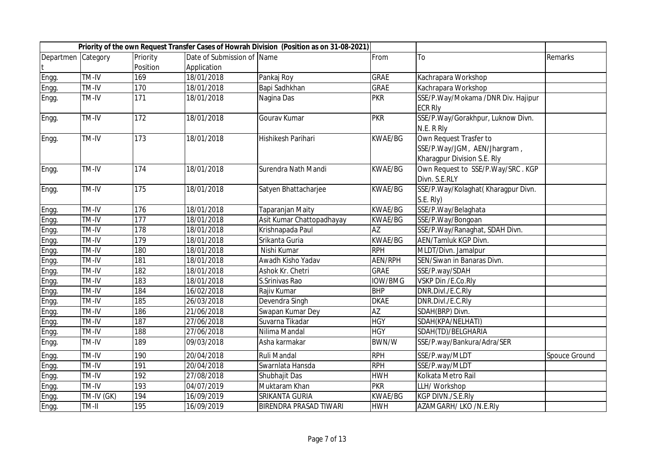|                    |            |                  |                            | Priority of the own Request Transfer Cases of Howrah Division (Position as on 31-08-2021) |                 |                                    |               |
|--------------------|------------|------------------|----------------------------|-------------------------------------------------------------------------------------------|-----------------|------------------------------------|---------------|
| Departmen Category |            | Priority         | Date of Submission of Name |                                                                                           | From            | T٥                                 | Remarks       |
|                    |            | Position         | Application                |                                                                                           |                 |                                    |               |
| Engg.              | TM-IV      | 169              | 18/01/2018                 | Pankaj Roy                                                                                | <b>GRAE</b>     | Kachrapara Workshop                |               |
| Engg.              | TM-IV      | 170              | 18/01/2018                 | Bapi Sadhkhan                                                                             | <b>GRAE</b>     | Kachrapara Workshop                |               |
| Engg.              | TM-IV      | 171              | 18/01/2018                 | Nagina Das                                                                                | <b>PKR</b>      | SSE/P.Way/Mokama /DNR Div. Hajipur |               |
|                    |            |                  |                            |                                                                                           |                 | <b>ECR RIV</b>                     |               |
| Engg.              | TM-IV      | 172              | 18/01/2018                 | Gourav Kumar                                                                              | <b>PKR</b>      | SSE/P.Way/Gorakhpur, Luknow Divn.  |               |
|                    |            |                  |                            |                                                                                           |                 | N.E. R Rly                         |               |
| Engg.              | TM-IV      | 173              | 18/01/2018                 | Hishikesh Parihari                                                                        | <b>KWAE/BG</b>  | Own Request Trasfer to             |               |
|                    |            |                  |                            |                                                                                           |                 | SSE/P.Way/JGM, AEN/Jhargram,       |               |
|                    |            |                  |                            |                                                                                           |                 | Kharagpur Division S.E. Rly        |               |
| Engg.              | TM-IV      | $\overline{174}$ | 18/01/2018                 | Surendra Nath Mandi                                                                       | <b>KWAE/BG</b>  | Own Request to SSE/P.Way/SRC. KGP  |               |
|                    |            |                  |                            |                                                                                           |                 | Divn. S.E.RLY                      |               |
| Engg.              | TM-IV      | 175              | 18/01/2018                 | Satyen Bhattacharjee                                                                      | <b>KWAE/BG</b>  | SSE/P.Way/Kolaghat(Kharagpur Divn. |               |
|                    |            |                  |                            |                                                                                           |                 | S.E. Rly)                          |               |
| Engg.              | TM-IV      | 176              | 18/01/2018                 | Taparanjan Maity                                                                          | <b>KWAE/BG</b>  | SSE/P.Way/Belaghata                |               |
| Engg.              | TM-IV      | 177              | 18/01/2018                 | Asit Kumar Chattopadhayay                                                                 | <b>KWAE/BG</b>  | SSE/P.Way/Bongoan                  |               |
| Engg.              | TM-IV      | 178              | 18/01/2018                 | Krishnapada Paul                                                                          | AZ              | SSE/P.Way/Ranaghat, SDAH Divn.     |               |
| Engg.              | TM-IV      | 179              | 18/01/2018                 | Srikanta Guria                                                                            | <b>KWAE/BG</b>  | AEN/Tamluk KGP Divn.               |               |
| Engg.              | TM-IV      | 180              | 18/01/2018                 | Nishi Kumar                                                                               | <b>RPH</b>      | MLDT/Divn. Jamalpur                |               |
| Engg.              | TM-IV      | 181              | 18/01/2018                 | Awadh Kisho Yadav                                                                         | <b>AEN/RPH</b>  | SEN/Siwan in Banaras Divn.         |               |
| Engg.              | TM-IV      | 182              | 18/01/2018                 | Ashok Kr. Chetri                                                                          | <b>GRAE</b>     | SSE/P.way/SDAH                     |               |
| Engg.              | TM-IV      | 183              | 18/01/2018                 | S.Srinivas Rao                                                                            | <b>IOW/BMG</b>  | VSKP Din /E.Co.Rly                 |               |
| Engg.              | TM-IV      | 184              | 16/02/2018                 | Rajiv Kumar                                                                               | <b>BHP</b>      | DNR.Divl./E.C.Rly                  |               |
| Engg.              | TM-IV      | 185              | 26/03/2018                 | Devendra Singh                                                                            | <b>DKAE</b>     | DNR.Divl./E.C.Rly                  |               |
| Engg.              | TM-IV      | 186              | 21/06/2018                 | Swapan Kumar Dey                                                                          | $\overline{AZ}$ | SDAH(BRP) Divn.                    |               |
| Engg.              | TM-IV      | 187              | 27/06/2018                 | Suvarna Tikadar                                                                           | <b>HGY</b>      | SDAH(KPA/NELHATI)                  |               |
| Engg.              | TM-IV      | 188              | 27/06/2018                 | Nilima Mandal                                                                             | <b>HGY</b>      | SDAH(TD)/BELGHARIA                 |               |
| Engg.              | TM-IV      | 189              | 09/03/2018                 | Asha karmakar                                                                             | BWN/W           | SSE/P.way/Bankura/Adra/SER         |               |
| Engg.              | TM-IV      | 190              | 20/04/2018                 | Ruli Mandal                                                                               | <b>RPH</b>      | SSE/P.way/MLDT                     | Spouce Ground |
| Engg.              | TM-IV      | 191              | 20/04/2018                 | Swarnlata Hansda                                                                          | <b>RPH</b>      | SSE/P.way/MLDT                     |               |
| Engg.              | TM-IV      | 192              | 27/08/2018                 | Shubhajit Das                                                                             | <b>HWH</b>      | Kolkata Metro Rail                 |               |
| Engg.              | TM-IV      | $\overline{193}$ | 04/07/2019                 | Muktaram Khan                                                                             | <b>PKR</b>      | LLH/ Workshop                      |               |
| Engg.              | TM-IV (GK) | 194              | 16/09/2019                 | SRIKANTA GURIA                                                                            | <b>KWAE/BG</b>  | KGP DIVN./S.E.RIy                  |               |
| Engg.              | TM-II      | 195              | 16/09/2019                 | BIRENDRA PRASAD TIWARI                                                                    | <b>HWH</b>      | AZAMGARH/ LKO /N.E.RIy             |               |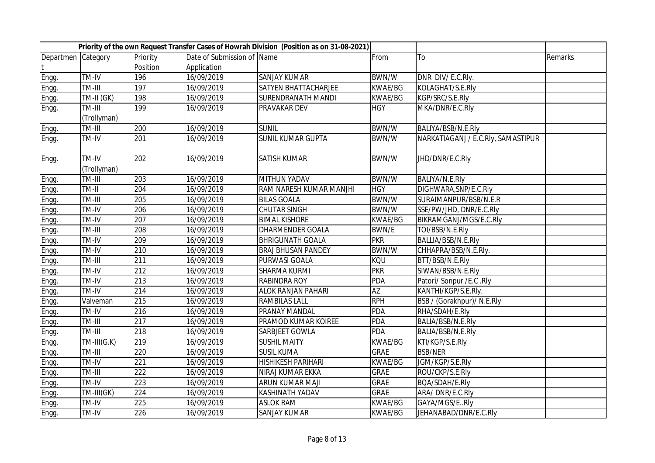|                    |                      |          |                            | Priority of the own Request Transfer Cases of Howrah Division (Position as on 31-08-2021) |                 |                                    |         |
|--------------------|----------------------|----------|----------------------------|-------------------------------------------------------------------------------------------|-----------------|------------------------------------|---------|
| Departmen Category |                      | Priority | Date of Submission of Name |                                                                                           | From            | To                                 | Remarks |
|                    |                      | Position | Application                |                                                                                           |                 |                                    |         |
| Engg.              | TM-IV                | 196      | 16/09/2019                 | <b>SANJAY KUMAR</b>                                                                       | BWN/W           | DNR DIV/E.C.Rly.                   |         |
| Engg.              | TM-III               | 197      | 16/09/2019                 | SATYEN BHATTACHARJEE                                                                      | <b>KWAE/BG</b>  | KOLAGHAT/S.E.RIy                   |         |
| Engg.              | TM-II (GK)           | 198      | 16/09/2019                 | <b>SURENDRANATH MANDI</b>                                                                 | KWAE/BG         | KGP/SRC/S.E.RIy                    |         |
| Engg.              | TM-III               | 199      | 16/09/2019                 | PRAVAKAR DEV                                                                              | <b>HGY</b>      | MKA/DNR/E.C.Rly                    |         |
|                    | (Trollyman)          |          |                            |                                                                                           |                 |                                    |         |
| Engg.              | TM-III               | 200      | 16/09/2019                 | <b>SUNIL</b>                                                                              | BWN/W           | BALIYA/BSB/N.E.RIy                 |         |
| Engg.              | <b>TM-IV</b>         | 201      | 16/09/2019                 | <b>SUNIL KUMAR GUPTA</b>                                                                  | BWN/W           | NARKATIAGANJ / E.C.RIy, SAMASTIPUR |         |
| Engg.              | TM-IV<br>(Trollyman) | 202      | 16/09/2019                 | <b>SATISH KUMAR</b>                                                                       | BWN/W           | JHD/DNR/E.C.Rly                    |         |
| Engg.              | TM-III               | 203      | 16/09/2019                 | <b>MITHUN YADAV</b>                                                                       | BWN/W           | BALIYA/N.E.Rly                     |         |
| Engg.              | TM-II                | 204      | 16/09/2019                 | RAM NARESH KUMAR MANJHI                                                                   | <b>HGY</b>      | DIGHWARA, SNP/E.C.RIy              |         |
| Engg.              | TM-III               | 205      | 16/09/2019                 | <b>BILAS GOALA</b>                                                                        | BWN/W           | SURAIMANPUR/BSB/N.E.R              |         |
| Engg.              | TM-IV                | 206      | 16/09/2019                 | <b>CHUTAR SINGH</b>                                                                       | BWN/W           | SSE/PW/JHD, DNR/E.C.Rly            |         |
| Engg.              | TM-IV                | 207      | 16/09/2019                 | <b>BIMAL KISHORE</b>                                                                      | <b>KWAE/BG</b>  | BIKRAMGANJ/MGS/E.C.Rly             |         |
| Engg.              | TM-III               | 208      | 16/09/2019                 | <b>DHARMENDER GOALA</b>                                                                   | <b>BWN/E</b>    | TOI/BSB/N.E.Rly                    |         |
| Engg.              | TM-IV                | 209      | 16/09/2019                 | <b>BHRIGUNATH GOALA</b>                                                                   | <b>PKR</b>      | BALLIA/BSB/N.E.RIy                 |         |
| Engg.              | TM-IV                | 210      | 16/09/2019                 | <b>BRAJ BHUSAN PANDEY</b>                                                                 | <b>BWN/W</b>    | CHHAPRA/BSB/N.E.Rly.               |         |
| Engg.              | TM-III               | 211      | 16/09/2019                 | PURWASI GOALA                                                                             | KQU             | BTT/BSB/N.E.Rly                    |         |
| Engg.              | TM-IV                | 212      | 16/09/2019                 | SHARMA KURMI                                                                              | <b>PKR</b>      | SIWAN/BSB/N.E.Rly                  |         |
| Engg.              | TM-IV                | 213      | 16/09/2019                 | <b>RABINDRA ROY</b>                                                                       | <b>PDA</b>      | Patori/ Sonpur / E.C . Rly         |         |
| Engg.              | TM-IV                | 214      | 16/09/2019                 | <b>ALOK RANJAN PAHARI</b>                                                                 | $\overline{AZ}$ | KANTHI/KGP/S.E.Rly.                |         |
| Engg.              | Valveman             | 215      | 16/09/2019                 | <b>RAMBILAS LALL</b>                                                                      | <b>RPH</b>      | BSB / (Gorakhpur)/ N.E.Rly         |         |
| Engg.              | TM-IV                | 216      | 16/09/2019                 | PRANAY MANDAL                                                                             | <b>PDA</b>      | RHA/SDAH/E.Rly                     |         |
| Engg.              | TM-III               | 217      | 16/09/2019                 | PRAMOD KUMAR KOIREE                                                                       | <b>PDA</b>      | BALIA/BSB/N.E.RIy                  |         |
| Engg.              | TM-III               | 218      | 16/09/2019                 | SARBJEET GOWLA                                                                            | <b>PDA</b>      | BALIA/BSB/N.E.RIy                  |         |
| Engg.              | $TM-HI(G.K)$         | 219      | 16/09/2019                 | <b>SUSHIL MAITY</b>                                                                       | <b>KWAE/BG</b>  | KTI/KGP/S.E.Rly                    |         |
| Engg.              | TM-III               | 220      | 16/09/2019                 | <b>SUSIL KUMA</b>                                                                         | <b>GRAE</b>     | <b>BSB/NER</b>                     |         |
| Engg.              | TM-IV                | 221      | 16/09/2019                 | <b>HISHIKESH PARIHARI</b>                                                                 | <b>KWAE/BG</b>  | JGM/KGP/S.E.Rly                    |         |
| Engg.              | TM-III               | 222      | 16/09/2019                 | NIRAJ KUMAR EKKA                                                                          | <b>GRAE</b>     | ROU/CKP/S.E.RIy                    |         |
| Engg.              | TM-IV                | 223      | 16/09/2019                 | ARUN KUMAR MAJI                                                                           | GRAE            | BQA/SDAH/E.Rly                     |         |
| Engg.              | TM-III(GK)           | 224      | 16/09/2019                 | KASHINATH YADAV                                                                           | <b>GRAE</b>     | ARA/DNR/E.C.RIy                    |         |
| Engg.              | TM-IV                | 225      | 16/09/2019                 | <b>ASLOK RAM</b>                                                                          | KWAE/BG         | GAYA/MGS/ERly                      |         |
| Engg.              | TM-IV                | 226      | 16/09/2019                 | <b>SANJAY KUMAR</b>                                                                       | KWAE/BG         | JEHANABAD/DNR/E.C.Rly              |         |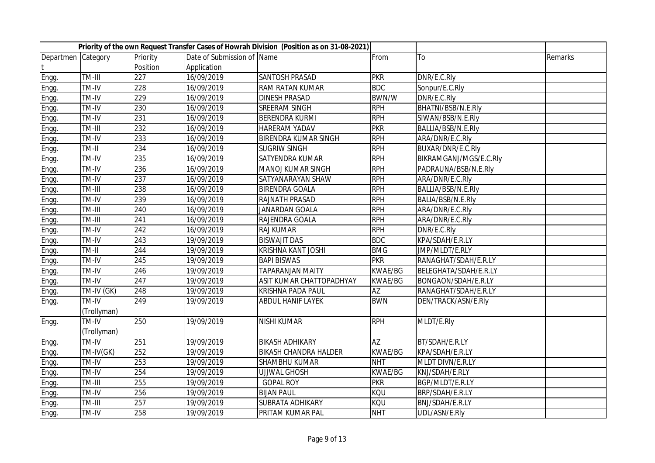|                    |             |          |                            | Priority of the own Request Transfer Cases of Howrah Division (Position as on 31-08-2021) |                |                        |         |
|--------------------|-------------|----------|----------------------------|-------------------------------------------------------------------------------------------|----------------|------------------------|---------|
| Departmen Category |             | Priority | Date of Submission of Name |                                                                                           | From           | To                     | Remarks |
|                    |             | Position | Application                |                                                                                           |                |                        |         |
| Engg.              | TM-III      | 227      | 16/09/2019                 | SANTOSH PRASAD                                                                            | <b>PKR</b>     | DNR/E.C.Rly            |         |
| Engg.              | TM-IV       | 228      | 16/09/2019                 | RAM RATAN KUMAR                                                                           | <b>BDC</b>     | Sonpur/E.C.Rly         |         |
| Engg.              | TM-IV       | 229      | 16/09/2019                 | <b>DINESH PRASAD</b>                                                                      | <b>BWN/W</b>   | DNR/E.C.Rly            |         |
| Engg.              | TM-IV       | 230      | 16/09/2019                 | SREERAM SINGH                                                                             | <b>RPH</b>     | BHATNI/BSB/N.E.RIy     |         |
| Engg.              | TM-IV       | 231      | 16/09/2019                 | BERENDRA KURMI                                                                            | <b>RPH</b>     | SIWAN/BSB/N.E.Rly      |         |
| Engg.              | TM-III      | 232      | 16/09/2019                 | HARERAM YADAV                                                                             | <b>PKR</b>     | BALLIA/BSB/N.E.Rly     |         |
| Engg.              | TM-IV       | 233      | 16/09/2019                 | BIRENDRA KUMAR SINGH                                                                      | <b>RPH</b>     | ARA/DNR/E.C.Rly        |         |
| Engg.              | TM-II       | 234      | 16/09/2019                 | <b>SUGRIW SINGH</b>                                                                       | <b>RPH</b>     | BUXAR/DNR/E.C.Rly      |         |
| Engg.              | TM-IV       | 235      | 16/09/2019                 | SATYENDRA KUMAR                                                                           | <b>RPH</b>     | BIKRAMGANJ/MGS/E.C.Rly |         |
| Engg.              | TM-IV       | 236      | 16/09/2019                 | MANOJ KUMAR SINGH                                                                         | <b>RPH</b>     | PADRAUNA/BSB/N.E.Rly   |         |
| Engg.              | TM-IV       | 237      | 16/09/2019                 | SATYANARAYAN SHAW                                                                         | <b>RPH</b>     | ARA/DNR/E.C.Rly        |         |
| Engg.              | TM-III      | 238      | 16/09/2019                 | <b>BIRENDRA GOALA</b>                                                                     | <b>RPH</b>     | BALLIA/BSB/N.E.RIy     |         |
| Engg.              | TM-IV       | 239      | 16/09/2019                 | RAJNATH PRASAD                                                                            | <b>RPH</b>     | BALIA/BSB/N.E.RIy      |         |
| Engg.              | TM-III      | 240      | 16/09/2019                 | JANARDAN GOALA                                                                            | <b>RPH</b>     | ARA/DNR/E.C.Rly        |         |
| Engg.              | TM-III      | 241      | 16/09/2019                 | RAJENDRA GOALA                                                                            | <b>RPH</b>     | ARA/DNR/E.C.Rly        |         |
| Engg.              | TM-IV       | 242      | 16/09/2019                 | RAJ KUMAR                                                                                 | <b>RPH</b>     | DNR/E.C.Rly            |         |
| Engg.              | TM-IV       | 243      | 19/09/2019                 | <b>BISWAJIT DAS</b>                                                                       | <b>BDC</b>     | KPA/SDAH/E.R.LY        |         |
| Engg.              | TM-II       | 244      | 19/09/2019                 | KRISHNA KANT JOSHI                                                                        | <b>BMG</b>     | JMP/MLDT/E.RLY         |         |
| Engg.              | TM-IV       | 245      | 19/09/2019                 | <b>BAPI BISWAS</b>                                                                        | <b>PKR</b>     | RANAGHAT/SDAH/E.R.LY   |         |
| Engg.              | TM-IV       | 246      | 19/09/2019                 | <b>TAPARANJAN MAITY</b>                                                                   | <b>KWAE/BG</b> | BELEGHATA/SDAH/E.R.LY  |         |
| Engg.              | TM-IV       | 247      | 19/09/2019                 | ASIT KUMAR CHATTOPADHYAY                                                                  | <b>KWAE/BG</b> | BONGAON/SDAH/E.R.LY    |         |
| Engg.              | TM-IV (GK)  | 248      | 19/09/2019                 | KRISHNA PADA PAUL                                                                         | <b>AZ</b>      | RANAGHAT/SDAH/E.R.LY   |         |
| Engg.              | TM-IV       | 249      | 19/09/2019                 | <b>ABDUL HANIF LAYEK</b>                                                                  | <b>BWN</b>     | DEN/TRACK/ASN/E.Rly    |         |
|                    | (Trollyman) |          |                            |                                                                                           |                |                        |         |
| Engg.              | TM-IV       | 250      | 19/09/2019                 | NISHI KUMAR                                                                               | <b>RPH</b>     | MLDT/E.Rly             |         |
|                    | (Trollyman) |          |                            |                                                                                           |                |                        |         |
| Engg.              | TM-IV       | 251      | 19/09/2019                 | <b>BIKASH ADHIKARY</b>                                                                    | <b>AZ</b>      | BT/SDAH/E.R.LY         |         |
| Engg.              | TM-IV(GK)   | 252      | 19/09/2019                 | <b>BIKASH CHANDRA HALDER</b>                                                              | <b>KWAE/BG</b> | KPA/SDAH/E.R.LY        |         |
| Engg.              | TM-IV       | 253      | 19/09/2019                 | SHAMBHU KUMAR                                                                             | <b>NHT</b>     | MLDT DIVN/E.R.LY       |         |
| Engg.              | TM-IV       | 254      | 19/09/2019                 | <b>UJJWAL GHOSH</b>                                                                       | <b>KWAE/BG</b> | KNJ/SDAH/E.RLY         |         |
| Engg.              | TM-III      | 255      | 19/09/2019                 | <b>GOPAL ROY</b>                                                                          | <b>PKR</b>     | BGP/MLDT/E.R.LY        |         |
| Engg.              | TM-IV       | 256      | 19/09/2019                 | <b>BIJAN PAUL</b>                                                                         | KQU            | BRP/SDAH/E.R.LY        |         |
| Engg.              | TM-III      | 257      | 19/09/2019                 | SUBRATA ADHIKARY                                                                          | <b>KOU</b>     | BNJ/SDAH/E.R.LY        |         |
| Engg.              | TM-IV       | 258      | 19/09/2019                 | PRITAM KUMAR PAL                                                                          | <b>NHT</b>     | UDL/ASN/E.Rly          |         |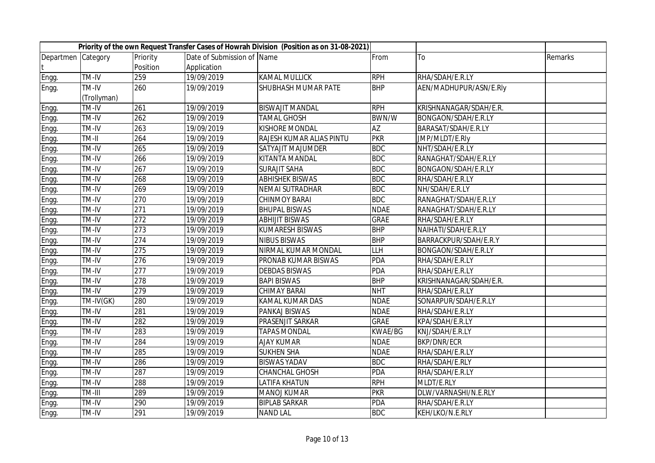|                    |             |          |                            | Priority of the own Request Transfer Cases of Howrah Division (Position as on 31-08-2021) |                |                        |         |
|--------------------|-------------|----------|----------------------------|-------------------------------------------------------------------------------------------|----------------|------------------------|---------|
| Departmen Category |             | Priority | Date of Submission of Name |                                                                                           | From           | To                     | Remarks |
|                    |             | Position | Application                |                                                                                           |                |                        |         |
| Engg.              | TM-IV       | 259      | 19/09/2019                 | <b>KAMAL MULLICK</b>                                                                      | <b>RPH</b>     | RHA/SDAH/E.R.LY        |         |
| Engg.              | TM-IV       | 260      | 19/09/2019                 | SHUBHASH MUMAR PATE                                                                       | <b>BHP</b>     | AEN/MADHUPUR/ASN/E.Rly |         |
|                    | (Trollyman) |          |                            |                                                                                           |                |                        |         |
| Engg.              | TM-IV       | 261      | 19/09/2019                 | <b>BISWAJIT MANDAL</b>                                                                    | <b>RPH</b>     | KRISHNANAGAR/SDAH/E.R. |         |
| Engg.              | TM-IV       | 262      | 19/09/2019                 | <b>TAMAL GHOSH</b>                                                                        | BWN/W          | BONGAON/SDAH/E.R.LY    |         |
| Engg.              | TM-IV       | 263      | 19/09/2019                 | KISHORE MONDAL                                                                            | AZ             | BARASAT/SDAH/E.R.LY    |         |
| Engg.              | TM-II       | 264      | 19/09/2019                 | RAJESH KUMAR ALIAS PINTU                                                                  | <b>PKR</b>     | JMP/MLDT/E.Rly         |         |
| Engg.              | TM-IV       | 265      | 19/09/2019                 | SATYAJIT MAJUMDER                                                                         | <b>BDC</b>     | NHT/SDAH/E.R.LY        |         |
| Engg.              | TM-IV       | 266      | 19/09/2019                 | KITANTA MANDAL                                                                            | <b>BDC</b>     | RANAGHAT/SDAH/E.R.LY   |         |
| Engg.              | TM-IV       | 267      | 19/09/2019                 | <b>SURAJIT SAHA</b>                                                                       | <b>BDC</b>     | BONGAON/SDAH/E.R.LY    |         |
| Engg.              | TM-IV       | 268      | 19/09/2019                 | <b>ABHISHEK BISWAS</b>                                                                    | <b>BDC</b>     | RHA/SDAH/E.R.LY        |         |
| Engg.              | TM-IV       | 269      | 19/09/2019                 | NEMAI SUTRADHAR                                                                           | <b>BDC</b>     | NH/SDAH/E.R.LY         |         |
| Engg.              | TM-IV       | 270      | 19/09/2019                 | <b>CHINMOY BARAI</b>                                                                      | <b>BDC</b>     | RANAGHAT/SDAH/E.R.LY   |         |
| Engg.              | TM-IV       | 271      | 19/09/2019                 | <b>BHUPAL BISWAS</b>                                                                      | <b>NDAE</b>    | RANAGHAT/SDAH/E.R.LY   |         |
| Engg.              | TM-IV       | 272      | 19/09/2019                 | <b>ABHIJIT BISWAS</b>                                                                     | <b>GRAE</b>    | RHA/SDAH/E.R.LY        |         |
| Engg.              | TM-IV       | 273      | 19/09/2019                 | <b>KUMARESH BISWAS</b>                                                                    | <b>BHP</b>     | NAIHATI/SDAH/E.R.LY    |         |
| Engg.              | TM-IV       | 274      | 19/09/2019                 | <b>NIBUS BISWAS</b>                                                                       | <b>BHP</b>     | BARRACKPUR/SDAH/E.R.Y  |         |
| Engg.              | TM-IV       | 275      | 19/09/2019                 | NIRMAL KUMAR MONDAL                                                                       | <b>LLH</b>     | BONGAON/SDAH/E.R.LY    |         |
| Engg.              | TM-IV       | 276      | 19/09/2019                 | PRONAB KUMAR BISWAS                                                                       | <b>PDA</b>     | RHA/SDAH/E.R.LY        |         |
| Engg.              | TM-IV       | 277      | 19/09/2019                 | <b>DEBDAS BISWAS</b>                                                                      | <b>PDA</b>     | RHA/SDAH/E.R.LY        |         |
| Engg.              | TM-IV       | 278      | 19/09/2019                 | <b>BAPI BISWAS</b>                                                                        | <b>BHP</b>     | KRISHNANAGAR/SDAH/E.R. |         |
| Engg.              | TM-IV       | 279      | 19/09/2019                 | <b>CHIMAY BARAI</b>                                                                       | <b>NHT</b>     | RHA/SDAH/E.R.LY        |         |
| Engg.              | TM-IV(GK)   | 280      | 19/09/2019                 | KAMAL KUMAR DAS                                                                           | <b>NDAE</b>    | SONARPUR/SDAH/E.R.LY   |         |
| Engg.              | TM-IV       | 281      | 19/09/2019                 | PANKAJ BISWAS                                                                             | <b>NDAE</b>    | RHA/SDAH/E.R.LY        |         |
| Engg.              | TM-IV       | 282      | 19/09/2019                 | PRASENJIT SARKAR                                                                          | <b>GRAE</b>    | KPA/SDAH/E.R.LY        |         |
| Engg.              | TM-IV       | 283      | 19/09/2019                 | <b>TAPAS MONDAL</b>                                                                       | <b>KWAE/BG</b> | KNJ/SDAH/E.R.LY        |         |
| Engg.              | TM-IV       | 284      | 19/09/2019                 | <b>AJAY KUMAR</b>                                                                         | <b>NDAE</b>    | <b>BKP/DNR/ECR</b>     |         |
| Engg.              | TM-IV       | 285      | 19/09/2019                 | <b>SUKHEN SHA</b>                                                                         | <b>NDAE</b>    | RHA/SDAH/E.R.LY        |         |
| Engg.              | TM-IV       | 286      | 19/09/2019                 | <b>BISWAS YADAV</b>                                                                       | <b>BDC</b>     | RHA/SDAH/E.RLY         |         |
| Engg.              | TM-IV       | 287      | 19/09/2019                 | CHANCHAL GHOSH                                                                            | <b>PDA</b>     | RHA/SDAH/E.R.LY        |         |
| Engg.              | TM-IV       | 288      | 19/09/2019                 | LATIFA KHATUN                                                                             | <b>RPH</b>     | MLDT/E.RLY             |         |
| Engg.              | TM-III      | 289      | 19/09/2019                 | MANOJ KUMAR                                                                               | <b>PKR</b>     | DLW/VARNASHI/N.E.RLY   |         |
| Engg.              | TM-IV       | 290      | 19/09/2019                 | <b>BIPLAB SARKAR</b>                                                                      | <b>PDA</b>     | RHA/SDAH/E.R.LY        |         |
| Engg.              | TM-IV       | 291      | 19/09/2019                 | <b>NAND LAL</b>                                                                           | <b>BDC</b>     | KEH/LKO/N.E.RLY        |         |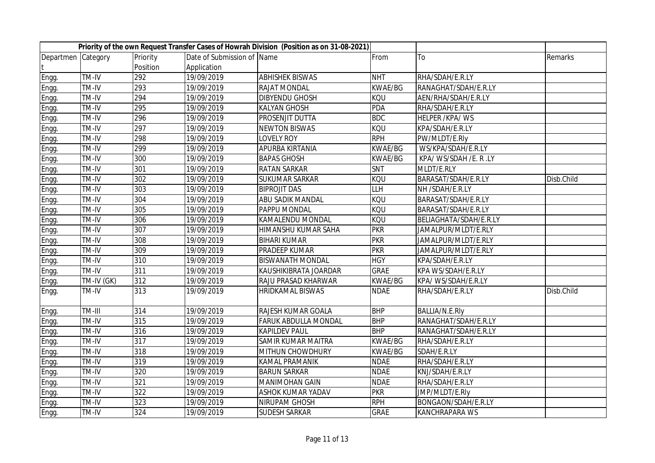|                    |            |          |                            | Priority of the own Request Transfer Cases of Howrah Division (Position as on 31-08-2021) |                |                        |            |
|--------------------|------------|----------|----------------------------|-------------------------------------------------------------------------------------------|----------------|------------------------|------------|
| Departmen Category |            | Priority | Date of Submission of Name |                                                                                           | From           | To                     | Remarks    |
|                    |            | Position | Application                |                                                                                           |                |                        |            |
| Engg.              | TM-IV      | 292      | 19/09/2019                 | <b>ABHISHEK BISWAS</b>                                                                    | <b>NHT</b>     | RHA/SDAH/E.R.LY        |            |
| Engg.              | TM-IV      | 293      | 19/09/2019                 | RAJAT MONDAL                                                                              | <b>KWAE/BG</b> | RANAGHAT/SDAH/E.R.LY   |            |
| Engg.              | TM-IV      | 294      | 19/09/2019                 | DIBYENDU GHOSH                                                                            | KQU            | AEN/RHA/SDAH/E.R.LY    |            |
| Engg.              | TM-IV      | 295      | 19/09/2019                 | <b>KALYAN GHOSH</b>                                                                       | <b>PDA</b>     | RHA/SDAH/E.R.LY        |            |
| Engg.              | TM-IV      | 296      | 19/09/2019                 | PROSENJIT DUTTA                                                                           | <b>BDC</b>     | <b>HELPER /KPA/WS</b>  |            |
| Engg.              | TM-IV      | 297      | 19/09/2019                 | <b>NEWTON BISWAS</b>                                                                      | KQU            | KPA/SDAH/E.R.LY        |            |
| Engg.              | TM-IV      | 298      | 19/09/2019                 | <b>LOVELY ROY</b>                                                                         | <b>RPH</b>     | PW/MLDT/E.Rly          |            |
| Engg.              | TM-IV      | 299      | 19/09/2019                 | APURBA KIRTANIA                                                                           | <b>KWAE/BG</b> | WS/KPA/SDAH/E.R.LY     |            |
| Engg.              | TM-IV      | 300      | 19/09/2019                 | <b>BAPAS GHOSH</b>                                                                        | <b>KWAE/BG</b> | KPA/ WS/SDAH /E. R .LY |            |
| Engg.              | TM-IV      | 301      | 19/09/2019                 | <b>RATAN SARKAR</b>                                                                       | SNT            | MLDT/E.RLY             |            |
| Engg.              | TM-IV      | 302      | 19/09/2019                 | <b>SUKUMAR SARKAR</b>                                                                     | <b>KQU</b>     | BARASAT/SDAH/E.R.LY    | Disb.Child |
| Engg.              | TM-IV      | 303      | 19/09/2019                 | <b>BIPROJIT DAS</b>                                                                       | <b>LLH</b>     | NH /SDAH/E.R.LY        |            |
| Engg.              | TM-IV      | 304      | 19/09/2019                 | ABU SADIK MANDAL                                                                          | <b>KQU</b>     | BARASAT/SDAH/E.R.LY    |            |
| Engg.              | TM-IV      | 305      | 19/09/2019                 | PAPPU MONDAL                                                                              | <b>KQU</b>     | BARASAT/SDAH/E.R.LY    |            |
| Engg.              | TM-IV      | 306      | 19/09/2019                 | KAMALENDU MONDAL                                                                          | <b>KQU</b>     | BELIAGHATA/SDAH/E.R.LY |            |
| Engg.              | TM-IV      | 307      | 19/09/2019                 | HIMANSHU KUMAR SAHA                                                                       | <b>PKR</b>     | JAMALPUR/MLDT/E.RLY    |            |
| Engg.              | TM-IV      | 308      | 19/09/2019                 | <b>BIHARI KUMAR</b>                                                                       | <b>PKR</b>     | JAMALPUR/MLDT/E.RLY    |            |
| Engg.              | TM-IV      | 309      | 19/09/2019                 | PRADEEP KUMAR                                                                             | <b>PKR</b>     | JAMALPUR/MLDT/E.RLY    |            |
| Engg.              | TM-IV      | 310      | 19/09/2019                 | <b>BISWANATH MONDAL</b>                                                                   | <b>HGY</b>     | KPA/SDAH/E.R.LY        |            |
| Engg.              | TM-IV      | 311      | 19/09/2019                 | KAUSHIKIBRATA JOARDAR                                                                     | <b>GRAE</b>    | KPA WS/SDAH/E.R.LY     |            |
| Engg.              | TM-IV (GK) | 312      | 19/09/2019                 | RAJU PRASAD KHARWAR                                                                       | <b>KWAE/BG</b> | KPA/ WS/SDAH/E.R.LY    |            |
| Engg.              | TM-IV      | 313      | 19/09/2019                 | HRIDKAMAL BISWAS                                                                          | <b>NDAE</b>    | RHA/SDAH/E.R.LY        | Disb.Child |
| Engg.              | TM-III     | 314      | 19/09/2019                 | RAJESH KUMAR GOALA                                                                        | <b>BHP</b>     | BALLIA/N.E.Rly         |            |
| Engg.              | TM-IV      | 315      | 19/09/2019                 | FARUK ABDULLA MONDAL                                                                      | <b>BHP</b>     | RANAGHAT/SDAH/E.R.LY   |            |
| Engg.              | TM-IV      | 316      | 19/09/2019                 | <b>KAPILDEV PAUL</b>                                                                      | <b>BHP</b>     | RANAGHAT/SDAH/E.R.LY   |            |
| Engg.              | TM-IV      | 317      | 19/09/2019                 | SAMIR KUMAR MAITRA                                                                        | <b>KWAE/BG</b> | RHA/SDAH/E.R.LY        |            |
| Engg.              | TM-IV      | 318      | 19/09/2019                 | MITHUN CHOWDHURY                                                                          | <b>KWAE/BG</b> | SDAH/E.R.LY            |            |
| Engg.              | TM-IV      | 319      | 19/09/2019                 | <b>KAMAL PRAMANIK</b>                                                                     | <b>NDAE</b>    | RHA/SDAH/E.R.LY        |            |
| Engg.              | TM-IV      | 320      | 19/09/2019                 | <b>BARUN SARKAR</b>                                                                       | <b>NDAE</b>    | KNJ/SDAH/E.R.LY        |            |
| Engg.              | TM-IV      | 321      | 19/09/2019                 | <b>MANIMOHAN GAIN</b>                                                                     | <b>NDAE</b>    | RHA/SDAH/E.R.LY        |            |
| Engg.              | TM-IV      | 322      | 19/09/2019                 | ASHOK KUMAR YADAV                                                                         | <b>PKR</b>     | JMP/MLDT/E.Rly         |            |
| Engg.              | TM-IV      | 323      | 19/09/2019                 | NIRUPAM GHOSH                                                                             | <b>RPH</b>     | BONGAON/SDAH/E.R.LY    |            |
| Engg.              | TM-IV      | 324      | 19/09/2019                 | <b>SUDESH SARKAR</b>                                                                      | <b>GRAE</b>    | <b>KANCHRAPARA WS</b>  |            |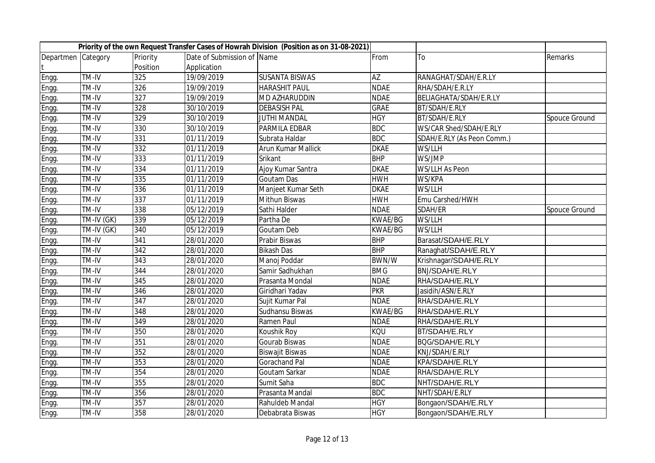|                    |            |          |                            | Priority of the own Request Transfer Cases of Howrah Division (Position as on 31-08-2021) |                 |                            |               |
|--------------------|------------|----------|----------------------------|-------------------------------------------------------------------------------------------|-----------------|----------------------------|---------------|
| Departmen Category |            | Priority | Date of Submission of Name |                                                                                           | From            | To                         | Remarks       |
|                    |            | Position | Application                |                                                                                           |                 |                            |               |
| Engg.              | TM-IV      | 325      | 19/09/2019                 | <b>SUSANTA BISWAS</b>                                                                     | $\overline{AZ}$ | RANAGHAT/SDAH/E.R.LY       |               |
| Engg.              | TM-IV      | 326      | 19/09/2019                 | <b>HARASHIT PAUL</b>                                                                      | <b>NDAE</b>     | RHA/SDAH/E.R.LY            |               |
| Engg.              | TM-IV      | 327      | 19/09/2019                 | MD AZHARUDDIN                                                                             | <b>NDAE</b>     | BELIAGHATA/SDAH/E.R.LY     |               |
| Engg.              | TM-IV      | 328      | 30/10/2019                 | <b>DEBASISH PAL</b>                                                                       | <b>GRAE</b>     | BT/SDAH/E.RLY              |               |
| Engg.              | TM-IV      | 329      | 30/10/2019                 | <b>JUTHI MANDAL</b>                                                                       | <b>HGY</b>      | BT/SDAH/E.RLY              | Spouce Ground |
| Engg.              | TM-IV      | 330      | 30/10/2019                 | PARMILA EDBAR                                                                             | <b>BDC</b>      | WS/CAR Shed/SDAH/E.RLY     |               |
| Engg.              | TM-IV      | 331      | 01/11/2019                 | Subrata Haldar                                                                            | <b>BDC</b>      | SDAH/E.RLY (As Peon Comm.) |               |
| Engg.              | TM-IV      | 332      | 01/11/2019                 | Arun Kumar Mallick                                                                        | <b>DKAE</b>     | WS/LLH                     |               |
| Engg.              | TM-IV      | 333      | 01/11/2019                 | Srikant                                                                                   | <b>BHP</b>      | WS/JMP                     |               |
| Engg.              | TM-IV      | 334      | 01/11/2019                 | Ajoy Kumar Santra                                                                         | <b>DKAE</b>     | <b>WS/LLH As Peon</b>      |               |
| Engg.              | TM-IV      | 335      | 01/11/2019                 | <b>Goutam Das</b>                                                                         | <b>HWH</b>      | WS/KPA                     |               |
| Engg.              | TM-IV      | 336      | 01/11/2019                 | Manjeet Kumar Seth                                                                        | <b>DKAE</b>     | WS/LLH                     |               |
| Engg.              | TM-IV      | 337      | 01/11/2019                 | Mithun Biswas                                                                             | <b>HWH</b>      | Emu Carshed/HWH            |               |
| Engg.              | TM-IV      | 338      | 05/12/2019                 | Sathi Halder                                                                              | <b>NDAE</b>     | SDAH/ER                    | Spouce Ground |
| Engg.              | TM-IV (GK) | 339      | 05/12/2019                 | Partha De                                                                                 | <b>KWAE/BG</b>  | WS/LLH                     |               |
| Engg.              | TM-IV (GK) | 340      | 05/12/2019                 | Goutam Deb                                                                                | <b>KWAE/BG</b>  | WS/LLH                     |               |
| Engg.              | TM-IV      | 341      | 28/01/2020                 | Prabir Biswas                                                                             | <b>BHP</b>      | Barasat/SDAH/E.RLY         |               |
| Engg.              | TM-IV      | 342      | 28/01/2020                 | <b>Bikash Das</b>                                                                         | <b>BHP</b>      | Ranaghat/SDAH/E.RLY        |               |
| Engg.              | TM-IV      | 343      | 28/01/2020                 | Manoj Poddar                                                                              | <b>BWN/W</b>    | Krishnagar/SDAH/E.RLY      |               |
| Engg.              | TM-IV      | 344      | 28/01/2020                 | Samir Sadhukhan                                                                           | <b>BMG</b>      | <b>BNJ/SDAH/E.RLY</b>      |               |
| Engg.              | TM-IV      | 345      | 28/01/2020                 | Prasanta Mondal                                                                           | <b>NDAE</b>     | RHA/SDAH/E.RLY             |               |
| Engg.              | TM-IV      | 346      | 28/01/2020                 | Giridhari Yadav                                                                           | <b>PKR</b>      | Jasidih/ASN/E.RLY          |               |
| Engg.              | TM-IV      | 347      | 28/01/2020                 | Sujit Kumar Pal                                                                           | <b>NDAE</b>     | RHA/SDAH/E.RLY             |               |
| Engg.              | TM-IV      | 348      | 28/01/2020                 | Sudhansu Biswas                                                                           | <b>KWAE/BG</b>  | RHA/SDAH/E.RLY             |               |
| Engg.              | TM-IV      | 349      | 28/01/2020                 | Ramen Paul                                                                                | <b>NDAE</b>     | RHA/SDAH/E.RLY             |               |
| Engg.              | TM-IV      | 350      | 28/01/2020                 | Koushik Roy                                                                               | <b>KQU</b>      | BT/SDAH/E.RLY              |               |
| Engg.              | TM-IV      | 351      | 28/01/2020                 | Gourab Biswas                                                                             | <b>NDAE</b>     | BQG/SDAH/E.RLY             |               |
| Engg.              | TM-IV      | 352      | 28/01/2020                 | <b>Biswajit Biswas</b>                                                                    | <b>NDAE</b>     | KNJ/SDAH/E.RLY             |               |
| Engg.              | TM-IV      | 353      | 28/01/2020                 | <b>Gorachand Pal</b>                                                                      | <b>NDAE</b>     | KPA/SDAH/E.RLY             |               |
| Engg.              | TM-IV      | 354      | 28/01/2020                 | Goutam Sarkar                                                                             | <b>NDAE</b>     | RHA/SDAH/E.RLY             |               |
| Engg.              | TM-IV      | 355      | 28/01/2020                 | Sumit Saha                                                                                | <b>BDC</b>      | NHT/SDAH/E.RLY             |               |
| Engg.              | TM-IV      | 356      | 28/01/2020                 | Prasanta Mandal                                                                           | <b>BDC</b>      | NHT/SDAH/E.RLY             |               |
| Engg.              | TM-IV      | 357      | 28/01/2020                 | Rahuldeb Mandal                                                                           | <b>HGY</b>      | Bongaon/SDAH/E.RLY         |               |
| Engg.              | TM-IV      | 358      | 28/01/2020                 | Debabrata Biswas                                                                          | <b>HGY</b>      | Bongaon/SDAH/E.RLY         |               |